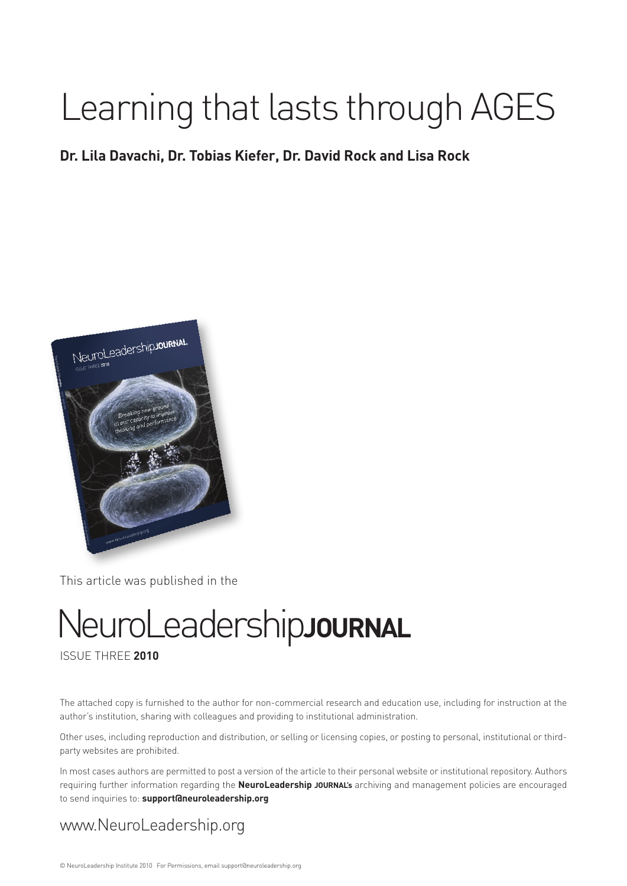# Learning that lasts through AGES

### **Dr. Lila Davachi, Dr. Tobias Kiefer, Dr. David Rock and Lisa Rock**



This article was published in the

# NeuroLeadership**journal**

#### issue THREE **2010**

The attached copy is furnished to the author for non-commercial research and education use, including for instruction at the author's institution, sharing with colleagues and providing to institutional administration.

Other uses, including reproduction and distribution, or selling or licensing copies, or posting to personal, institutional or thirdparty websites are prohibited.

In most cases authors are permitted to post a version of the article to their personal website or institutional repository. Authors requiring further information regarding the **NeuroLeadership journal's** archiving and management policies are encouraged to send inquiries to: **support@neuroleadership.org**

### www.NeuroLeadership.org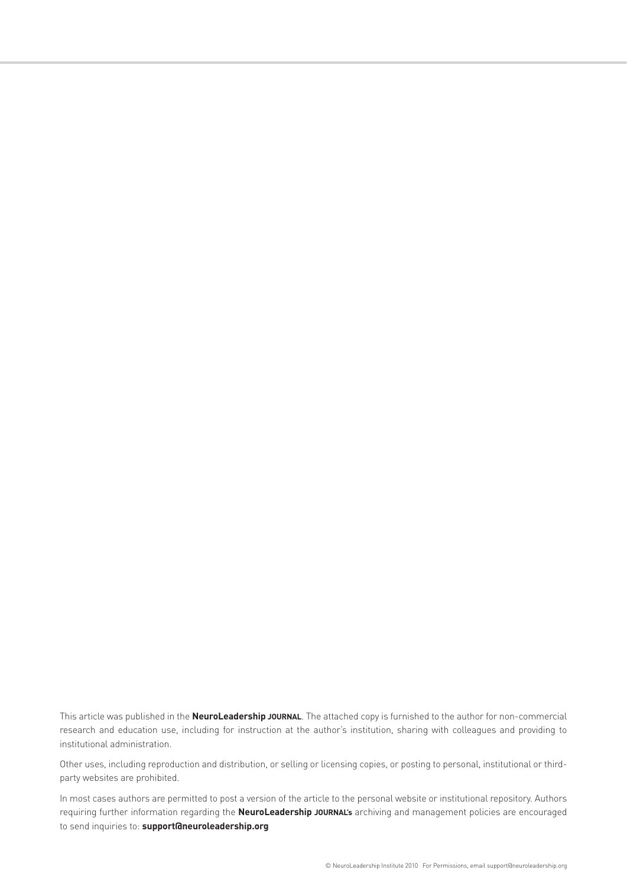This article was published in the **NeuroLeadership journal**. The attached copy is furnished to the author for non-commercial research and education use, including for instruction at the author's institution, sharing with colleagues and providing to institutional administration.

Other uses, including reproduction and distribution, or selling or licensing copies, or posting to personal, institutional or thirdparty websites are prohibited.

In most cases authors are permitted to post a version of the article to the personal website or institutional repository. Authors requiring further information regarding the **NeuroLeadership journal's** archiving and management policies are encouraged to send inquiries to: **support@neuroleadership.org**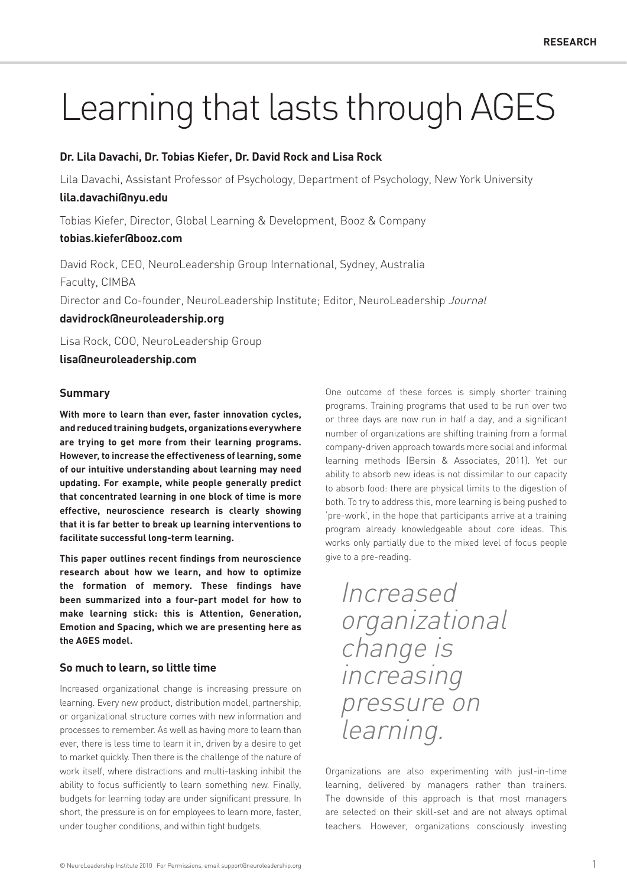## Learning that lasts through AGES

#### **Dr. Lila Davachi, Dr. Tobias Kiefer, Dr. David Rock and Lisa Rock**

Lila Davachi, Assistant Professor of Psychology, Department of Psychology, New York University

#### **lila.davachi@nyu.edu**

Tobias Kiefer, Director, Global Learning & Development, Booz & Company

#### **tobias.kiefer@booz.com**

David Rock, CEO, NeuroLeadership Group International, Sydney, Australia Faculty, CIMBA Director and Co-founder, NeuroLeadership Institute; Editor, NeuroLeadership Journal

#### **davidrock@neuroleadership.org**

Lisa Rock, COO, NeuroLeadership Group

**lisa@neuroleadership.com**

#### **Summary**

**With more to learn than ever, faster innovation cycles, and reduced training budgets, organizations everywhere are trying to get more from their learning programs. However, to increase the effectiveness of learning, some of our intuitive understanding about learning may need updating. For example, while people generally predict that concentrated learning in one block of time is more effective, neuroscience research is clearly showing that it is far better to break up learning interventions to facilitate successful long-term learning.**

**This paper outlines recent findings from neuroscience research about how we learn, and how to optimize the formation of memory. These findings have been summarized into a four-part model for how to make learning stick: this is Attention, Generation, Emotion and Spacing, which we are presenting here as the AGES model.**

#### **So much to learn, so little time**

Increased organizational change is increasing pressure on learning. Every new product, distribution model, partnership, or organizational structure comes with new information and processes to remember. As well as having more to learn than ever, there is less time to learn it in, driven by a desire to get to market quickly. Then there is the challenge of the nature of work itself, where distractions and multi-tasking inhibit the ability to focus sufficiently to learn something new. Finally, budgets for learning today are under significant pressure. In short, the pressure is on for employees to learn more, faster, under tougher conditions, and within tight budgets.

One outcome of these forces is simply shorter training programs. Training programs that used to be run over two or three days are now run in half a day, and a significant number of organizations are shifting training from a formal company-driven approach towards more social and informal learning methods (Bersin & Associates, 2011). Yet our ability to absorb new ideas is not dissimilar to our capacity to absorb food: there are physical limits to the digestion of both. To try to address this, more learning is being pushed to 'pre-work', in the hope that participants arrive at a training program already knowledgeable about core ideas. This works only partially due to the mixed level of focus people give to a pre-reading.

### Increased organizational change is increasing pressure on learning.

Organizations are also experimenting with just-in-time learning, delivered by managers rather than trainers. The downside of this approach is that most managers are selected on their skill-set and are not always optimal teachers. However, organizations consciously investing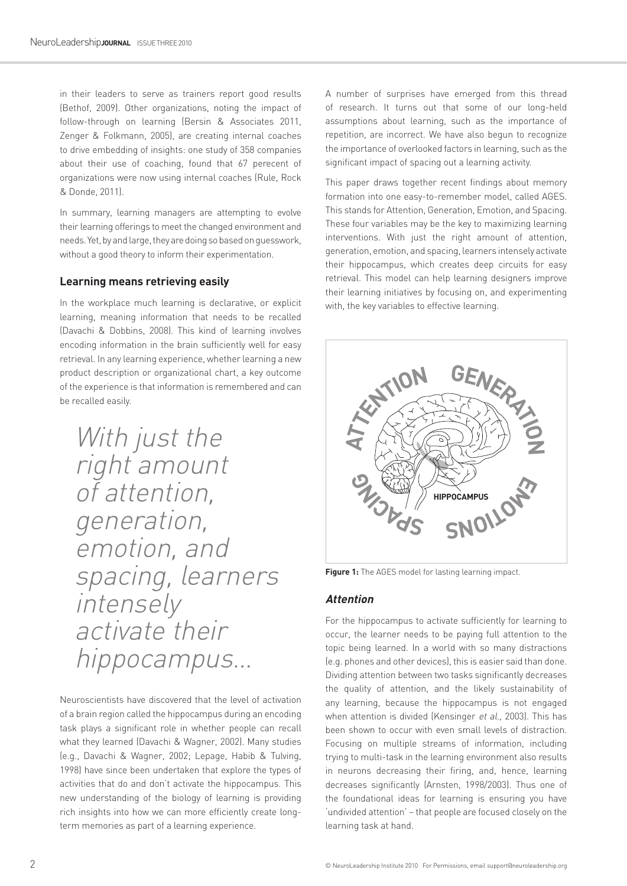in their leaders to serve as trainers report good results (Bethof, 2009). Other organizations, noting the impact of follow-through on learning (Bersin & Associates 2011, Zenger & Folkmann, 2005), are creating internal coaches to drive embedding of insights: one study of 358 companies about their use of coaching, found that 67 perecent of organizations were now using internal coaches (Rule, Rock & Donde, 2011).

In summary, learning managers are attempting to evolve their learning offerings to meet the changed environment and needs. Yet, by and large, they are doing so based on guesswork, without a good theory to inform their experimentation.

#### **Learning means retrieving easily**

In the workplace much learning is declarative, or explicit learning, meaning information that needs to be recalled (Davachi & Dobbins, 2008). This kind of learning involves encoding information in the brain sufficiently well for easy retrieval. In any learning experience, whether learning a new product description or organizational chart, a key outcome of the experience is that information is remembered and can be recalled easily.

With just the right amount of attention, generation, emotion, and spacing, learners intensely activate their hippocampus…

Neuroscientists have discovered that the level of activation of a brain region called the hippocampus during an encoding task plays a significant role in whether people can recall what they learned (Davachi & Wagner, 2002). Many studies (e.g., Davachi & Wagner, 2002; Lepage, Habib & Tulving, 1998) have since been undertaken that explore the types of activities that do and don't activate the hippocampus. This new understanding of the biology of learning is providing rich insights into how we can more efficiently create longterm memories as part of a learning experience.

A number of surprises have emerged from this thread of research. It turns out that some of our long-held assumptions about learning, such as the importance of repetition, are incorrect. We have also begun to recognize the importance of overlooked factors in learning, such as the significant impact of spacing out a learning activity.

This paper draws together recent findings about memory formation into one easy-to-remember model, called AGES. This stands for Attention, Generation, Emotion, and Spacing. These four variables may be the key to maximizing learning interventions. With just the right amount of attention, generation, emotion, and spacing, learners intensely activate their hippocampus, which creates deep circuits for easy retrieval. This model can help learning designers improve their learning initiatives by focusing on, and experimenting with, the key variables to effective learning.



**Figure 1:** The AGES model for lasting learning impact.

#### **Attention**

For the hippocampus to activate sufficiently for learning to occur, the learner needs to be paying full attention to the topic being learned. In a world with so many distractions (e.g. phones and other devices), this is easier said than done. Dividing attention between two tasks significantly decreases the quality of attention, and the likely sustainability of any learning, because the hippocampus is not engaged when attention is divided (Kensinger et al., 2003). This has been shown to occur with even small levels of distraction. Focusing on multiple streams of information, including trying to multi-task in the learning environment also results in neurons decreasing their firing, and, hence, learning decreases significantly (Arnsten, 1998/2003). Thus one of the foundational ideas for learning is ensuring you have 'undivided attention' – that people are focused closely on the learning task at hand.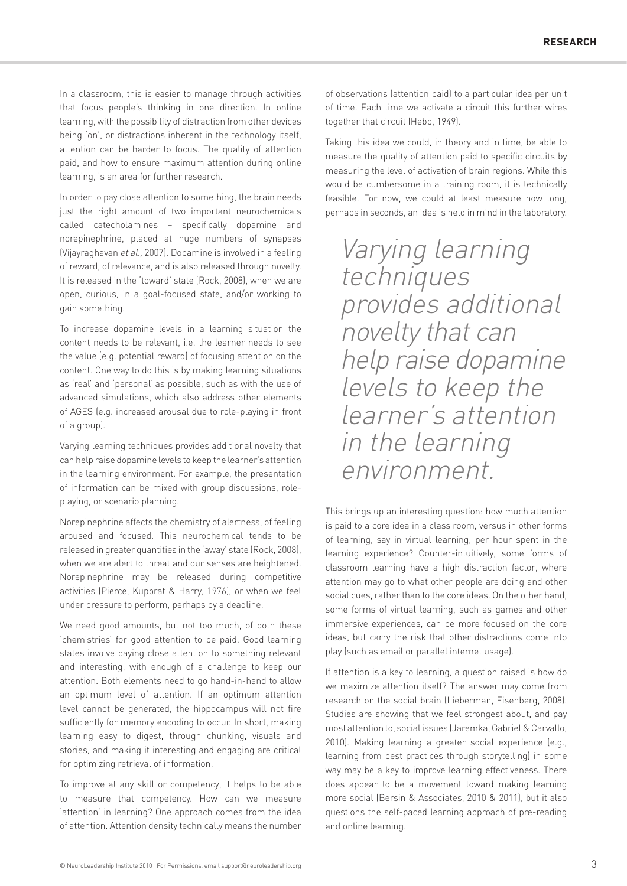In a classroom, this is easier to manage through activities that focus people's thinking in one direction. In online learning, with the possibility of distraction from other devices being 'on', or distractions inherent in the technology itself, attention can be harder to focus. The quality of attention paid, and how to ensure maximum attention during online learning, is an area for further research.

In order to pay close attention to something, the brain needs just the right amount of two important neurochemicals called catecholamines – specifically dopamine and norepinephrine, placed at huge numbers of synapses (Vijayraghavan et al., 2007). Dopamine is involved in a feeling of reward, of relevance, and is also released through novelty. It is released in the 'toward' state (Rock, 2008), when we are open, curious, in a goal-focused state, and/or working to gain something.

To increase dopamine levels in a learning situation the content needs to be relevant, i.e. the learner needs to see the value (e.g. potential reward) of focusing attention on the content. One way to do this is by making learning situations as 'real' and 'personal' as possible, such as with the use of advanced simulations, which also address other elements of AGES (e.g. increased arousal due to role-playing in front of a group).

Varying learning techniques provides additional novelty that can help raise dopamine levels to keep the learner's attention in the learning environment. For example, the presentation of information can be mixed with group discussions, roleplaying, or scenario planning.

Norepinephrine affects the chemistry of alertness, of feeling aroused and focused. This neurochemical tends to be released in greater quantities in the 'away' state (Rock, 2008), when we are alert to threat and our senses are heightened. Norepinephrine may be released during competitive activities (Pierce, Kupprat & Harry, 1976), or when we feel under pressure to perform, perhaps by a deadline.

We need good amounts, but not too much, of both these 'chemistries' for good attention to be paid. Good learning states involve paying close attention to something relevant and interesting, with enough of a challenge to keep our attention. Both elements need to go hand-in-hand to allow an optimum level of attention. If an optimum attention level cannot be generated, the hippocampus will not fire sufficiently for memory encoding to occur. In short, making learning easy to digest, through chunking, visuals and stories, and making it interesting and engaging are critical for optimizing retrieval of information.

To improve at any skill or competency, it helps to be able to measure that competency. How can we measure 'attention' in learning? One approach comes from the idea of attention. Attention density technically means the number of observations (attention paid) to a particular idea per unit of time. Each time we activate a circuit this further wires together that circuit (Hebb, 1949).

Taking this idea we could, in theory and in time, be able to measure the quality of attention paid to specific circuits by measuring the level of activation of brain regions. While this would be cumbersome in a training room, it is technically feasible. For now, we could at least measure how long, perhaps in seconds, an idea is held in mind in the laboratory.

Varying learning techniques provides additional novelty that can help raise dopamine levels to keep the learner's attention in the learning environment.

This brings up an interesting question: how much attention is paid to a core idea in a class room, versus in other forms of learning, say in virtual learning, per hour spent in the learning experience? Counter-intuitively, some forms of classroom learning have a high distraction factor, where attention may go to what other people are doing and other social cues, rather than to the core ideas. On the other hand, some forms of virtual learning, such as games and other immersive experiences, can be more focused on the core ideas, but carry the risk that other distractions come into play (such as email or parallel internet usage).

If attention is a key to learning, a question raised is how do we maximize attention itself? The answer may come from research on the social brain (Lieberman, Eisenberg, 2008). Studies are showing that we feel strongest about, and pay most attention to, social issues (Jaremka, Gabriel & Carvallo, 2010). Making learning a greater social experience (e.g., learning from best practices through storytelling) in some way may be a key to improve learning effectiveness. There does appear to be a movement toward making learning more social (Bersin & Associates, 2010 & 2011), but it also questions the self-paced learning approach of pre-reading and online learning.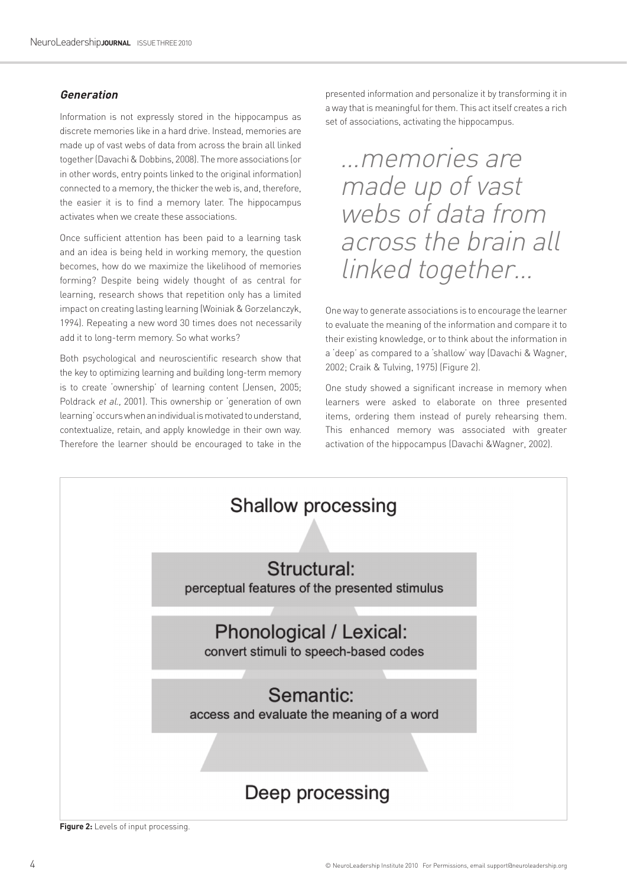#### **Generation**

Information is not expressly stored in the hippocampus as discrete memories like in a hard drive. Instead, memories are made up of vast webs of data from across the brain all linked together (Davachi & Dobbins, 2008). The more associations (or in other words, entry points linked to the original information) connected to a memory, the thicker the web is, and, therefore, the easier it is to find a memory later. The hippocampus activates when we create these associations.

Once sufficient attention has been paid to a learning task and an idea is being held in working memory, the question becomes, how do we maximize the likelihood of memories forming? Despite being widely thought of as central for learning, research shows that repetition only has a limited impact on creating lasting learning (Woiniak & Gorzelanczyk, 1994). Repeating a new word 30 times does not necessarily add it to long-term memory. So what works?

Both psychological and neuroscientific research show that the key to optimizing learning and building long-term memory is to create 'ownership' of learning content (Jensen, 2005; Poldrack et al., 2001). This ownership or 'generation of own learning' occurs when an individual is motivated to understand, contextualize, retain, and apply knowledge in their own way. Therefore the learner should be encouraged to take in the

presented information and personalize it by transforming it in a way that is meaningful for them. This act itself creates a rich set of associations, activating the hippocampus.

…memories are made up of vast webs of data from across the brain all linked together…

One way to generate associations is to encourage the learner to evaluate the meaning of the information and compare it to their existing knowledge, or to think about the information in a 'deep' as compared to a 'shallow' way (Davachi & Wagner, 2002; Craik & Tulving, 1975) (Figure 2).

One study showed a significant increase in memory when learners were asked to elaborate on three presented items, ordering them instead of purely rehearsing them. This enhanced memory was associated with greater activation of the hippocampus (Davachi &Wagner, 2002).



**Figure 2:** Levels of input processing.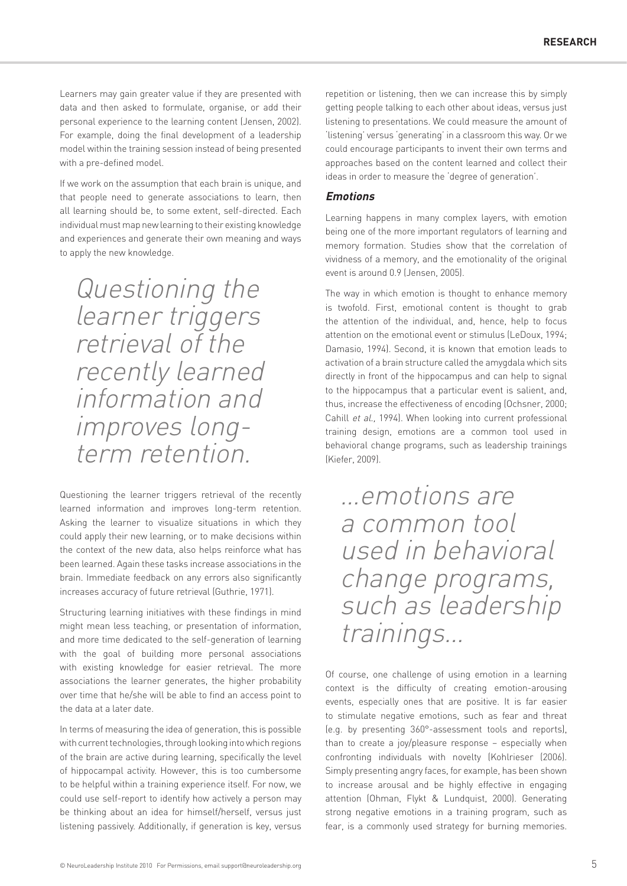Learners may gain greater value if they are presented with data and then asked to formulate, organise, or add their personal experience to the learning content (Jensen, 2002). For example, doing the final development of a leadership model within the training session instead of being presented with a pre-defined model.

If we work on the assumption that each brain is unique, and that people need to generate associations to learn, then all learning should be, to some extent, self-directed. Each individual must map new learning to their existing knowledge and experiences and generate their own meaning and ways to apply the new knowledge.

Questioning the learner triggers retrieval of the recently learned information and improves longterm retention.

Questioning the learner triggers retrieval of the recently learned information and improves long-term retention. Asking the learner to visualize situations in which they could apply their new learning, or to make decisions within the context of the new data, also helps reinforce what has been learned. Again these tasks increase associations in the brain. Immediate feedback on any errors also significantly increases accuracy of future retrieval (Guthrie, 1971).

Structuring learning initiatives with these findings in mind might mean less teaching, or presentation of information, and more time dedicated to the self-generation of learning with the goal of building more personal associations with existing knowledge for easier retrieval. The more associations the learner generates, the higher probability over time that he/she will be able to find an access point to the data at a later date.

In terms of measuring the idea of generation, this is possible with current technologies, through looking into which regions of the brain are active during learning, specifically the level of hippocampal activity. However, this is too cumbersome to be helpful within a training experience itself. For now, we could use self-report to identify how actively a person may be thinking about an idea for himself/herself, versus just listening passively. Additionally, if generation is key, versus

repetition or listening, then we can increase this by simply getting people talking to each other about ideas, versus just listening to presentations. We could measure the amount of 'listening' versus 'generating' in a classroom this way. Or we could encourage participants to invent their own terms and approaches based on the content learned and collect their ideas in order to measure the 'degree of generation'.

#### **Emotions**

Learning happens in many complex layers, with emotion being one of the more important regulators of learning and memory formation. Studies show that the correlation of vividness of a memory, and the emotionality of the original event is around 0.9 (Jensen, 2005).

The way in which emotion is thought to enhance memory is twofold. First, emotional content is thought to grab the attention of the individual, and, hence, help to focus attention on the emotional event or stimulus (LeDoux, 1994; Damasio, 1994). Second, it is known that emotion leads to activation of a brain structure called the amygdala which sits directly in front of the hippocampus and can help to signal to the hippocampus that a particular event is salient, and, thus, increase the effectiveness of encoding (Ochsner, 2000; Cahill et al., 1994). When looking into current professional training design, emotions are a common tool used in behavioral change programs, such as leadership trainings (Kiefer, 2009).

…emotions are a common tool used in behavioral change programs, such as leadership trainings…

Of course, one challenge of using emotion in a learning context is the difficulty of creating emotion-arousing events, especially ones that are positive. It is far easier to stimulate negative emotions, such as fear and threat (e.g. by presenting 360°-assessment tools and reports), than to create a joy/pleasure response – especially when confronting individuals with novelty (Kohlrieser (2006). Simply presenting angry faces, for example, has been shown to increase arousal and be highly effective in engaging attention (Ohman, Flykt & Lundquist, 2000). Generating strong negative emotions in a training program, such as fear, is a commonly used strategy for burning memories.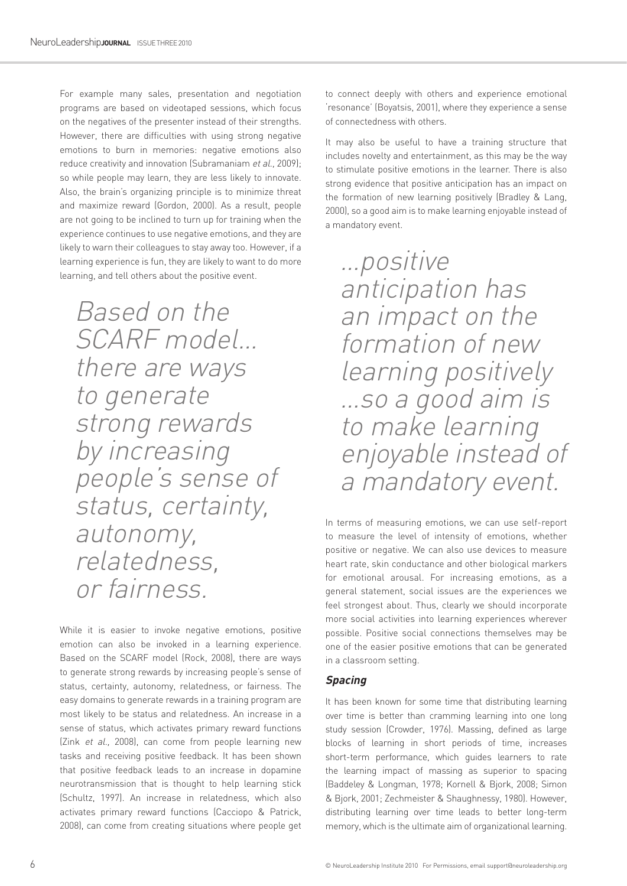For example many sales, presentation and negotiation programs are based on videotaped sessions, which focus on the negatives of the presenter instead of their strengths. However, there are difficulties with using strong negative emotions to burn in memories: negative emotions also reduce creativity and innovation (Subramaniam et al., 2009); so while people may learn, they are less likely to innovate. Also, the brain's organizing principle is to minimize threat and maximize reward (Gordon, 2000). As a result, people are not going to be inclined to turn up for training when the experience continues to use negative emotions, and they are likely to warn their colleagues to stay away too. However, if a learning experience is fun, they are likely to want to do more learning, and tell others about the positive event.

Based on the SCARF model… there are ways to generate strong rewards by increasing people's sense of status, certainty, autonomy, relatedness, or fairness.

While it is easier to invoke negative emotions, positive emotion can also be invoked in a learning experience. Based on the SCARF model (Rock, 2008), there are ways to generate strong rewards by increasing people's sense of status, certainty, autonomy, relatedness, or fairness. The easy domains to generate rewards in a training program are most likely to be status and relatedness. An increase in a sense of status, which activates primary reward functions (Zink et al., 2008), can come from people learning new tasks and receiving positive feedback. It has been shown that positive feedback leads to an increase in dopamine neurotransmission that is thought to help learning stick (Schultz, 1997). An increase in relatedness, which also activates primary reward functions (Cacciopo & Patrick, 2008), can come from creating situations where people get

to connect deeply with others and experience emotional 'resonance' (Boyatsis, 2001), where they experience a sense of connectedness with others.

It may also be useful to have a training structure that includes novelty and entertainment, as this may be the way to stimulate positive emotions in the learner. There is also strong evidence that positive anticipation has an impact on the formation of new learning positively (Bradley & Lang, 2000), so a good aim is to make learning enjoyable instead of a mandatory event.

…positive anticipation has an impact on the formation of new learning positively …so a good aim is to make learning enjoyable instead of a mandatory event.

In terms of measuring emotions, we can use self-report to measure the level of intensity of emotions, whether positive or negative. We can also use devices to measure heart rate, skin conductance and other biological markers for emotional arousal. For increasing emotions, as a general statement, social issues are the experiences we feel strongest about. Thus, clearly we should incorporate more social activities into learning experiences wherever possible. Positive social connections themselves may be one of the easier positive emotions that can be generated in a classroom setting.

#### **Spacing**

It has been known for some time that distributing learning over time is better than cramming learning into one long study session (Crowder, 1976). Massing, defined as large blocks of learning in short periods of time, increases short-term performance, which guides learners to rate the learning impact of massing as superior to spacing (Baddeley & Longman, 1978; Kornell & Bjork, 2008; Simon & Bjork, 2001; Zechmeister & Shaughnessy, 1980). However, distributing learning over time leads to better long-term memory, which is the ultimate aim of organizational learning.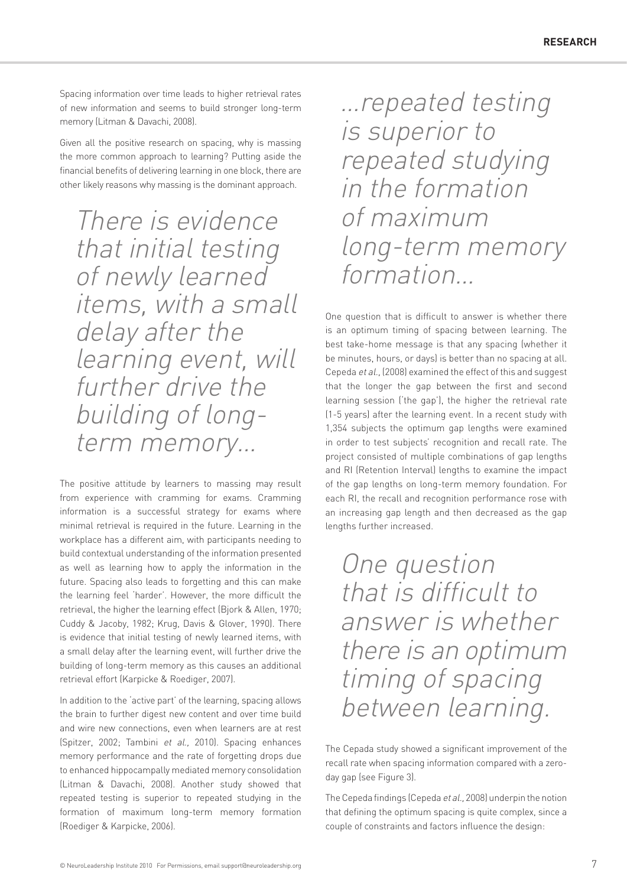Spacing information over time leads to higher retrieval rates of new information and seems to build stronger long-term memory (Litman & Davachi, 2008).

Given all the positive research on spacing, why is massing the more common approach to learning? Putting aside the financial benefits of delivering learning in one block, there are other likely reasons why massing is the dominant approach.

There is evidence that initial testing of newly learned items, with a small delay after the learning event, will further drive the building of longterm memory…

The positive attitude by learners to massing may result from experience with cramming for exams. Cramming information is a successful strategy for exams where minimal retrieval is required in the future. Learning in the workplace has a different aim, with participants needing to build contextual understanding of the information presented as well as learning how to apply the information in the future. Spacing also leads to forgetting and this can make the learning feel 'harder'. However, the more difficult the retrieval, the higher the learning effect (Bjork & Allen, 1970; Cuddy & Jacoby, 1982; Krug, Davis & Glover, 1990). There is evidence that initial testing of newly learned items, with a small delay after the learning event, will further drive the building of long-term memory as this causes an additional retrieval effort (Karpicke & Roediger, 2007).

In addition to the 'active part' of the learning, spacing allows the brain to further digest new content and over time build and wire new connections, even when learners are at rest (Spitzer, 2002; Tambini et al., 2010). Spacing enhances memory performance and the rate of forgetting drops due to enhanced hippocampally mediated memory consolidation (Litman & Davachi, 2008). Another study showed that repeated testing is superior to repeated studying in the formation of maximum long-term memory formation (Roediger & Karpicke, 2006).

…repeated testing is superior to repeated studying in the formation of maximum long-term memory formation…

One question that is difficult to answer is whether there is an optimum timing of spacing between learning. The best take-home message is that any spacing (whether it be minutes, hours, or days) is better than no spacing at all. Cepeda et al., (2008) examined the effect of this and suggest that the longer the gap between the first and second learning session ('the gap'), the higher the retrieval rate (1-5 years) after the learning event. In a recent study with 1,354 subjects the optimum gap lengths were examined in order to test subjects' recognition and recall rate. The project consisted of multiple combinations of gap lengths and RI (Retention Interval) lengths to examine the impact of the gap lengths on long-term memory foundation. For each RI, the recall and recognition performance rose with an increasing gap length and then decreased as the gap lengths further increased.

One question that is difficult to answer is whether there is an optimum timing of spacing between learning.

The Cepada study showed a significant improvement of the recall rate when spacing information compared with a zeroday gap (see Figure 3).

The Cepeda findings (Cepeda et al., 2008) underpin the notion that defining the optimum spacing is quite complex, since a couple of constraints and factors influence the design: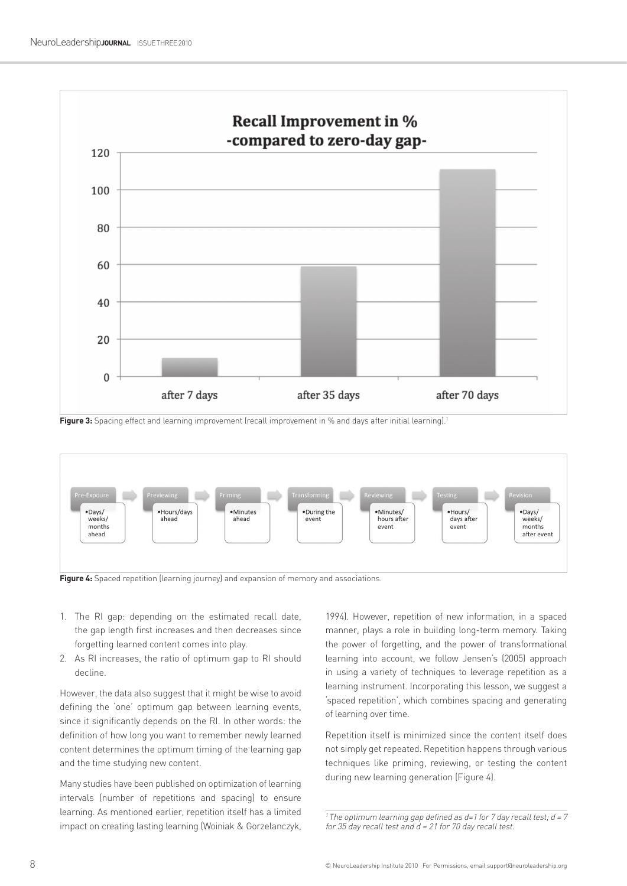

**Figure 3:** Spacing effect and learning improvement (recall improvement in % and days after initial learning).<sup>1</sup>



- 1. The RI gap: depending on the estimated recall date, the gap length first increases and then decreases since forgetting learned content comes into play.
- 2. As RI increases, the ratio of optimum gap to RI should decline.

However, the data also suggest that it might be wise to avoid defining the 'one' optimum gap between learning events, since it significantly depends on the RI. In other words: the definition of how long you want to remember newly learned content determines the optimum timing of the learning gap and the time studying new content.

Many studies have been published on optimization of learning intervals (number of repetitions and spacing) to ensure learning. As mentioned earlier, repetition itself has a limited impact on creating lasting learning (Woiniak & Gorzelanczyk,

1994). However, repetition of new information, in a spaced manner, plays a role in building long-term memory. Taking the power of forgetting, and the power of transformational learning into account, we follow Jensen's (2005) approach in using a variety of techniques to leverage repetition as a learning instrument. Incorporating this lesson, we suggest a 'spaced repetition', which combines spacing and generating of learning over time.

Repetition itself is minimized since the content itself does not simply get repeated. Repetition happens through various techniques like priming, reviewing, or testing the content during new learning generation (Figure 4).

<sup>1</sup> The optimum learning gap defined as  $d=1$  for 7 day recall test;  $d = 7$ for 35 day recall test and  $d = 21$  for 70 day recall test.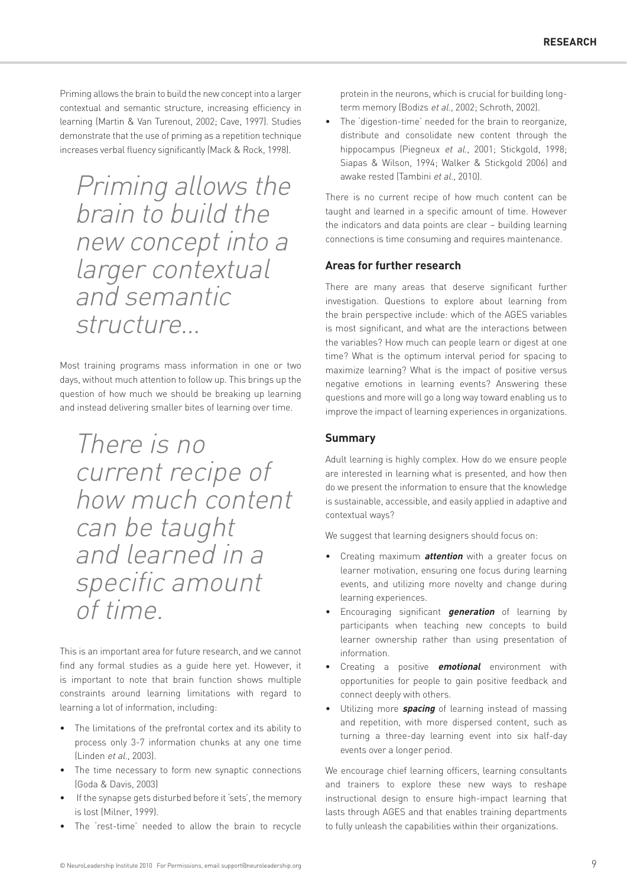Priming allows the brain to build the new concept into a larger contextual and semantic structure, increasing efficiency in learning (Martin & Van Turenout, 2002; Cave, 1997). Studies demonstrate that the use of priming as a repetition technique increases verbal fluency significantly (Mack & Rock, 1998).

Priming allows the brain to build the new concept into a larger contextual and semantic structure…

Most training programs mass information in one or two days, without much attention to follow up. This brings up the question of how much we should be breaking up learning and instead delivering smaller bites of learning over time.

There is no current recipe of how much content can be taught and learned in a specific amount of time.

This is an important area for future research, and we cannot find any formal studies as a guide here yet. However, it is important to note that brain function shows multiple constraints around learning limitations with regard to learning a lot of information, including:

- The limitations of the prefrontal cortex and its ability to process only 3-7 information chunks at any one time (Linden et al., 2003).
- The time necessary to form new synaptic connections (Goda & Davis, 2003)
- If the synapse gets disturbed before it 'sets', the memory is lost (Milner, 1999).
- The 'rest-time' needed to allow the brain to recycle

protein in the neurons, which is crucial for building longterm memory (Bodizs et al., 2002; Schroth, 2002).

• The 'digestion-time' needed for the brain to reorganize, distribute and consolidate new content through the hippocampus (Piegneux et al., 2001; Stickgold, 1998; Siapas & Wilson, 1994; Walker & Stickgold 2006) and awake rested (Tambini et al., 2010).

There is no current recipe of how much content can be taught and learned in a specific amount of time. However the indicators and data points are clear – building learning connections is time consuming and requires maintenance.

#### **Areas for further research**

There are many areas that deserve significant further investigation. Questions to explore about learning from the brain perspective include: which of the AGES variables is most significant, and what are the interactions between the variables? How much can people learn or digest at one time? What is the optimum interval period for spacing to maximize learning? What is the impact of positive versus negative emotions in learning events? Answering these questions and more will go a long way toward enabling us to improve the impact of learning experiences in organizations.

#### **Summary**

Adult learning is highly complex. How do we ensure people are interested in learning what is presented, and how then do we present the information to ensure that the knowledge is sustainable, accessible, and easily applied in adaptive and contextual ways?

We suggest that learning designers should focus on:

- Creating maximum **attention** with a greater focus on learner motivation, ensuring one focus during learning events, and utilizing more novelty and change during learning experiences.
- Encouraging significant **generation** of learning by participants when teaching new concepts to build learner ownership rather than using presentation of information.
- Creating a positive **emotional** environment with opportunities for people to gain positive feedback and connect deeply with others.
- Utilizing more **spacing** of learning instead of massing and repetition, with more dispersed content, such as turning a three-day learning event into six half-day events over a longer period.

We encourage chief learning officers, learning consultants and trainers to explore these new ways to reshape instructional design to ensure high-impact learning that lasts through AGES and that enables training departments to fully unleash the capabilities within their organizations.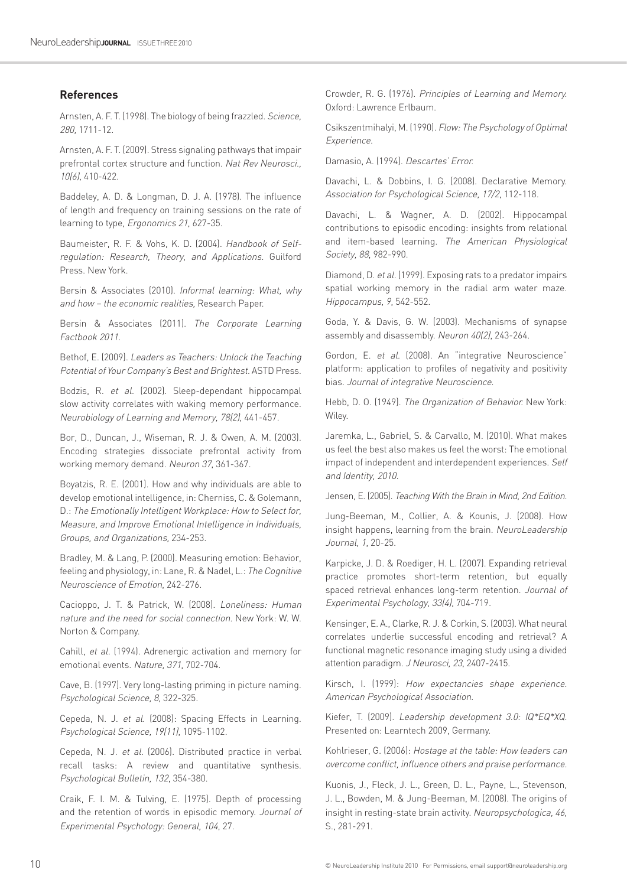#### **References**

Arnsten, A. F. T. (1998). The biology of being frazzled. Science, 280, 1711-12.

Arnsten, A. F. T. (2009). Stress signaling pathways that impair prefrontal cortex structure and function. Nat Rev Neurosci., 10(6), 410-422.

Baddeley, A. D. & Longman, D. J. A. (1978). The influence of length and frequency on training sessions on the rate of learning to type, Ergonomics 21, 627-35.

Baumeister, R. F. & Vohs, K. D. (2004). Handbook of Selfregulation: Research, Theory, and Applications. Guilford Press. New York.

Bersin & Associates (2010). Informal learning: What, why and how – the economic realities, Research Paper.

Bersin & Associates (2011). The Corporate Learning Factbook 2011.

Bethof, E. (2009). Leaders as Teachers: Unlock the Teaching Potential of Your Company's Best and Brightest. ASTD Press.

Bodzis, R. et al. (2002). Sleep-dependant hippocampal slow activity correlates with waking memory performance. Neurobiology of Learning and Memory, 78(2), 441-457.

Bor, D., Duncan, J., Wiseman, R. J. & Owen, A. M. (2003). Encoding strategies dissociate prefrontal activity from working memory demand. Neuron 37, 361-367.

Boyatzis, R. E. (2001). How and why individuals are able to develop emotional intelligence, in: Cherniss, C. & Golemann, D.: The Emotionally Intelligent Workplace: How to Select for, Measure, and Improve Emotional Intelligence in Individuals, Groups, and Organizations, 234-253.

Bradley, M. & Lang, P. (2000). Measuring emotion: Behavior, feeling and physiology, in: Lane, R. & Nadel, L.: The Cognitive Neuroscience of Emotion, 242-276.

Cacioppo, J. T. & Patrick, W. (2008). Loneliness: Human nature and the need for social connection. New York: W. W. Norton & Company.

Cahill, et al. (1994). Adrenergic activation and memory for emotional events. Nature, 371, 702-704.

Cave, B. (1997). Very long-lasting priming in picture naming. Psychological Science, 8, 322-325.

Cepeda, N. J. et al. (2008): Spacing Effects in Learning. Psychological Science, 19(11), 1095-1102.

Cepeda, N. J. et al. (2006). Distributed practice in verbal recall tasks: A review and quantitative synthesis. Psychological Bulletin, 132, 354-380.

Craik, F. I. M. & Tulving, E. (1975). Depth of processing and the retention of words in episodic memory. Journal of Experimental Psychology: General, 104, 27.

Crowder, R. G. (1976). Principles of Learning and Memory. Oxford: Lawrence Erlbaum.

Csikszentmihalyi, M. (1990). Flow: The Psychology of Optimal Experience.

Damasio, A. (1994). Descartes' Error.

Davachi, L. & Dobbins, I. G. (2008). Declarative Memory. Association for Psychological Science, 17/2, 112-118.

Davachi, L. & Wagner, A. D. (2002). Hippocampal contributions to episodic encoding: insights from relational and item-based learning. The American Physiological Society, 88, 982-990.

Diamond, D. et al. (1999). Exposing rats to a predator impairs spatial working memory in the radial arm water maze. Hippocampus, 9, 542-552.

Goda, Y. & Davis, G. W. (2003). Mechanisms of synapse assembly and disassembly. Neuron 40(2), 243-264.

Gordon, E. et al. (2008). An "integrative Neuroscience" platform: application to profiles of negativity and positivity bias. Journal of integrative Neuroscience.

Hebb, D. O. (1949). The Organization of Behavior. New York: Wiley.

Jaremka, L., Gabriel, S. & Carvallo, M. (2010). What makes us feel the best also makes us feel the worst: The emotional impact of independent and interdependent experiences. Self and Identity, 2010.

Jensen, E. (2005). Teaching With the Brain in Mind, 2nd Edition.

Jung-Beeman, M., Collier, A. & Kounis, J. (2008). How insight happens, learning from the brain. NeuroLeadership Journal, 1, 20-25.

Karpicke, J. D. & Roediger, H. L. (2007). Expanding retrieval practice promotes short-term retention, but equally spaced retrieval enhances long-term retention. Journal of Experimental Psychology, 33(4), 704-719.

Kensinger, E. A., Clarke, R. J. & Corkin, S. (2003). What neural correlates underlie successful encoding and retrieval? A functional magnetic resonance imaging study using a divided attention paradigm. J Neurosci, 23, 2407-2415.

Kirsch, I. (1999): How expectancies shape experience. American Psychological Association.

Kiefer, T. (2009). Leadership development 3.0: IQ\*EQ\*XQ. Presented on: Learntech 2009, Germany.

Kohlrieser, G. (2006): Hostage at the table: How leaders can overcome conflict, influence others and praise performance.

Kuonis, J., Fleck, J. L., Green, D. L., Payne, L., Stevenson, J. L., Bowden, M. & Jung-Beeman, M. (2008). The origins of insight in resting-state brain activity. Neuropsychologica, 46, S., 281-291.